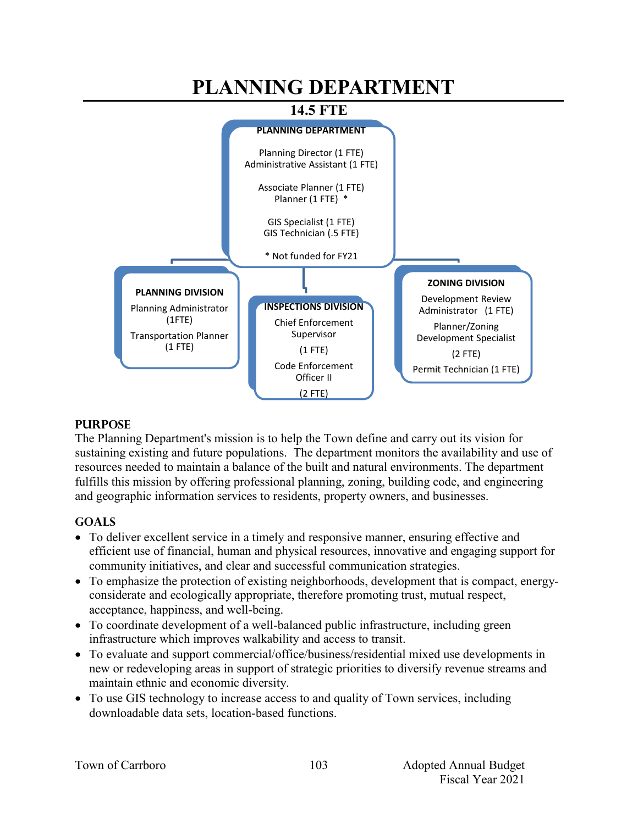#### **PLANNING DEPARTMENT 14.5 FTE PLANNING DEPARTMENT** Planning Director (1 FTE) Administrative Assistant (1 FTE) Associate Planner (1 FTE) Planner (1 FTE) \* GIS Specialist (1 FTE) GIS Technician (.5 FTE) \* Not funded for FY21 **PLANNING DIVISION** Planning Administrator (1FTE) Transportation Planner (1 FTE) **ZONING DIVISION** Development Review Administrator (1 FTE) Planner/Zoning Development Specialist (2 FTE) Permit Technician (1 FTE) **INSPECTIONS DIVISION** Chief Enforcement Supervisor (1 FTE) Code Enforcement Officer II (2 FTE)

## **PURPOSE**

The Planning Department's mission is to help the Town define and carry out its vision for sustaining existing and future populations. The department monitors the availability and use of resources needed to maintain a balance of the built and natural environments. The department fulfills this mission by offering professional planning, zoning, building code, and engineering and geographic information services to residents, property owners, and businesses.

## **GOALS**

- To deliver excellent service in a timely and responsive manner, ensuring effective and efficient use of financial, human and physical resources, innovative and engaging support for community initiatives, and clear and successful communication strategies.
- To emphasize the protection of existing neighborhoods, development that is compact, energyconsiderate and ecologically appropriate, therefore promoting trust, mutual respect, acceptance, happiness, and well-being.
- To coordinate development of a well-balanced public infrastructure, including green infrastructure which improves walkability and access to transit.
- To evaluate and support commercial/office/business/residential mixed use developments in new or redeveloping areas in support of strategic priorities to diversify revenue streams and maintain ethnic and economic diversity.
- To use GIS technology to increase access to and quality of Town services, including downloadable data sets, location-based functions.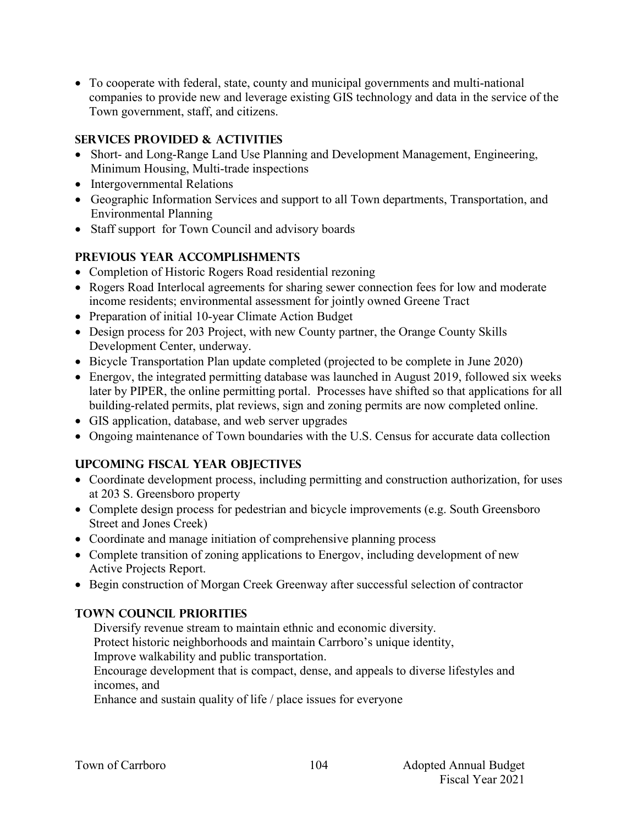To cooperate with federal, state, county and municipal governments and multi-national companies to provide new and leverage existing GIS technology and data in the service of the Town government, staff, and citizens.

## **SERVICES PROVIDED & ACTIVITIES**

- Short- and Long-Range Land Use Planning and Development Management, Engineering, Minimum Housing, Multi-trade inspections
- Intergovernmental Relations
- Geographic Information Services and support to all Town departments, Transportation, and Environmental Planning
- Staff support for Town Council and advisory boards

## **PREVIOUS YEAR ACCOMPLISHMENTS**

- Completion of Historic Rogers Road residential rezoning
- Rogers Road Interlocal agreements for sharing sewer connection fees for low and moderate income residents; environmental assessment for jointly owned Greene Tract
- Preparation of initial 10-year Climate Action Budget
- Design process for 203 Project, with new County partner, the Orange County Skills Development Center, underway.
- Bicycle Transportation Plan update completed (projected to be complete in June 2020)
- Energov, the integrated permitting database was launched in August 2019, followed six weeks later by PIPER, the online permitting portal. Processes have shifted so that applications for all building-related permits, plat reviews, sign and zoning permits are now completed online.
- GIS application, database, and web server upgrades
- Ongoing maintenance of Town boundaries with the U.S. Census for accurate data collection

## **UPCOMING FISCAL YEAR OBJECTIVES**

- Coordinate development process, including permitting and construction authorization, for uses at 203 S. Greensboro property
- Complete design process for pedestrian and bicycle improvements (e.g. South Greensboro Street and Jones Creek)
- Coordinate and manage initiation of comprehensive planning process
- Complete transition of zoning applications to Energov, including development of new Active Projects Report.
- Begin construction of Morgan Creek Greenway after successful selection of contractor

## **TOWN COUNCIL PRIORITIES**

Diversify revenue stream to maintain ethnic and economic diversity.

Protect historic neighborhoods and maintain Carrboro's unique identity,

Improve walkability and public transportation.

Encourage development that is compact, dense, and appeals to diverse lifestyles and incomes, and

Enhance and sustain quality of life / place issues for everyone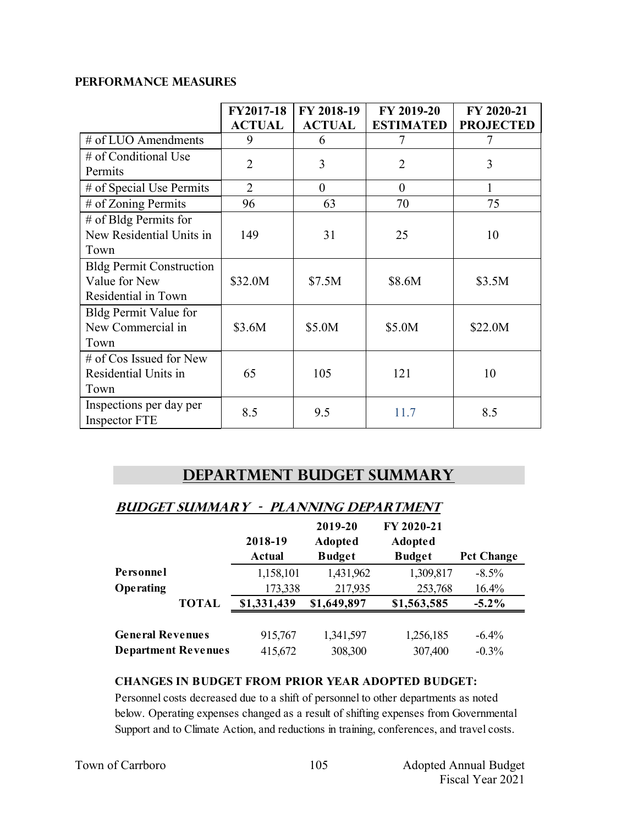### **PERFORMANCE MEASURES**

|                                                                         | FY2017-18<br><b>ACTUAL</b> | FY 2018-19<br><b>ACTUAL</b> | FY 2019-20<br><b>ESTIMATED</b> | FY 2020-21<br><b>PROJECTED</b> |
|-------------------------------------------------------------------------|----------------------------|-----------------------------|--------------------------------|--------------------------------|
| # of LUO Amendments                                                     | 9                          | 6                           | 7                              | 7                              |
| # of Conditional Use<br>Permits                                         | $\overline{2}$             | 3                           | $\overline{2}$                 | 3                              |
| # of Special Use Permits                                                | $\overline{2}$             | $\Omega$                    | $\theta$                       | 1                              |
| # of Zoning Permits                                                     | 96                         | 63                          | 70                             | 75                             |
| $#$ of Bldg Permits for<br>New Residential Units in<br>Town             | 149                        | 31                          | 25                             | 10                             |
| <b>Bldg Permit Construction</b><br>Value for New<br>Residential in Town | \$32.0M                    | \$7.5M                      | \$8.6M                         | \$3.5M                         |
| Bldg Permit Value for<br>New Commercial in<br>Town                      | \$3.6M                     | \$5.0M                      | \$5.0M                         | \$22.0M                        |
| # of Cos Issued for New<br>Residential Units in<br>Town                 | 65                         | 105                         | 121                            | 10                             |
| Inspections per day per<br>Inspector FTE                                | 8.5                        | 9.5                         | 11.7                           | 8.5                            |

## **Department Budget Summary**

| BUDGEI SUMMAR I<br>PLAINNING DEPARTMENT |               |                |                |                   |
|-----------------------------------------|---------------|----------------|----------------|-------------------|
|                                         |               | 2019-20        | FY 2020-21     |                   |
|                                         | 2018-19       | <b>Adopted</b> | <b>Adopted</b> |                   |
|                                         | <b>Actual</b> | <b>Budget</b>  | <b>Budget</b>  | <b>Pct Change</b> |
| Personnel                               | 1,158,101     | 1,431,962      | 1,309,817      | $-8.5\%$          |
| Operating                               | 173,338       | 217,935        | 253,768        | 16.4%             |
| <b>TOTAL</b>                            | \$1,331,439   | \$1,649,897    | \$1,563,585    | $-5.2\%$          |
|                                         |               |                |                |                   |
| <b>General Revenues</b>                 | 915,767       | 1,341,597      | 1,256,185      | $-6.4%$           |
| <b>Department Revenues</b>              | 415,672       | 308,300        | 307,400        | $-0.3%$           |

# **Budget summary - pLANNING department**

### **CHANGES IN BUDGET FROM PRIOR YEAR ADOPTED BUDGET:**

Personnel costs decreased due to a shift of personnel to other departments as noted below. Operating expenses changed as a result of shifting expenses from Governmental Support and to Climate Action, and reductions in training, conferences, and travel costs.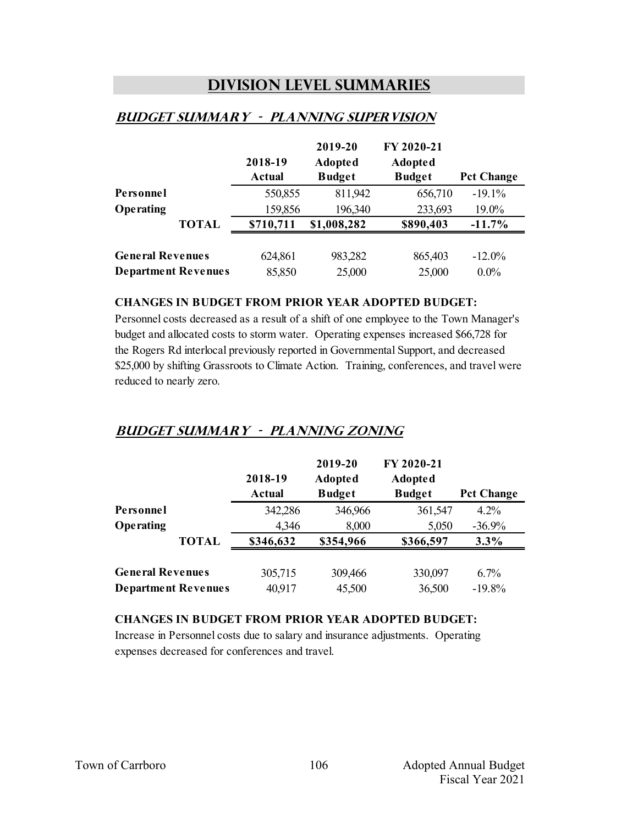## **Division Level Summaries**

|                            |              | 2018-19<br><b>Actual</b> | 2019-20<br><b>Adopted</b><br><b>Budget</b> | FY 2020-21<br><b>Adopted</b><br><b>Budget</b> | <b>Pct Change</b> |
|----------------------------|--------------|--------------------------|--------------------------------------------|-----------------------------------------------|-------------------|
| Personnel                  |              | 550,855                  | 811,942                                    | 656,710                                       | $-19.1%$          |
| Operating                  |              | 159,856                  | 196,340                                    | 233,693                                       | 19.0%             |
|                            | <b>TOTAL</b> | \$710,711                | \$1,008,282                                | \$890,403                                     | $-11.7\%$         |
|                            |              |                          |                                            |                                               |                   |
| <b>General Revenues</b>    |              | 624,861                  | 983,282                                    | 865,403                                       | $-12.0\%$         |
| <b>Department Revenues</b> |              | 85,850                   | 25,000                                     | 25,000                                        | $0.0\%$           |

### **Budget summary - planning supervision**

#### **CHANGES IN BUDGET FROM PRIOR YEAR ADOPTED BUDGET:**

Personnel costs decreased as a result of a shift of one employee to the Town Manager's budget and allocated costs to storm water. Operating expenses increased \$66,728 for the Rogers Rd interlocal previously reported in Governmental Support, and decreased \$25,000 by shifting Grassroots to Climate Action. Training, conferences, and travel were reduced to nearly zero.

## **Budget summary - planning zoning**

|                         |                            | 2018-19<br>Actual | 2019-20<br><b>Adopted</b><br><b>Budget</b> | FY 2020-21<br><b>Adopted</b><br><b>Budget</b> | <b>Pct Change</b> |
|-------------------------|----------------------------|-------------------|--------------------------------------------|-----------------------------------------------|-------------------|
| Personnel               |                            | 342,286           | 346,966                                    | 361,547                                       | $4.2\%$           |
| Operating               |                            | 4,346             | 8,000                                      | 5,050                                         | $-36.9%$          |
|                         | <b>TOTAL</b>               | \$346,632         | \$354,966                                  | \$366,597                                     | 3.3%              |
| <b>General Revenues</b> |                            | 305,715           | 309,466                                    | 330,097                                       | 6.7%              |
|                         | <b>Department Revenues</b> | 40,917            | 45,500                                     | 36,500                                        | $-19.8%$          |

### **CHANGES IN BUDGET FROM PRIOR YEAR ADOPTED BUDGET:**

Increase in Personnel costs due to salary and insurance adjustments. Operating expenses decreased for conferences and travel.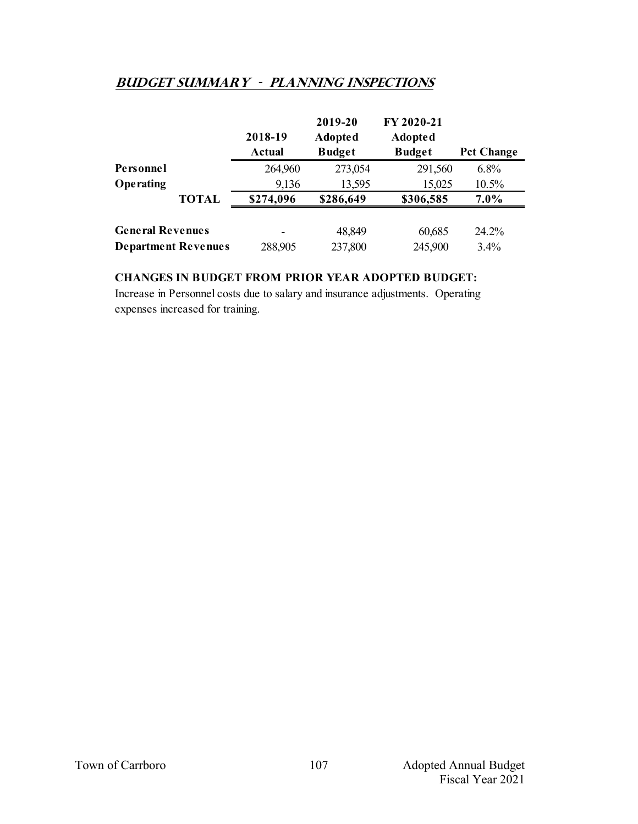## **Budget summary - planning inspections**

|                         |                            | 2018-19<br>Actual | 2019-20<br><b>Adopted</b><br><b>Budget</b> | FY 2020-21<br><b>Adopted</b><br><b>Budget</b> | <b>Pct Change</b> |
|-------------------------|----------------------------|-------------------|--------------------------------------------|-----------------------------------------------|-------------------|
| Personnel               |                            | 264,960           | 273,054                                    | 291,560                                       | 6.8%              |
| Operating               |                            | 9,136             | 13,595                                     | 15,025                                        | 10.5%             |
|                         | <b>TOTAL</b>               | \$274,096         | \$286,649                                  | \$306,585                                     | $7.0\%$           |
| <b>General Revenues</b> |                            |                   | 48,849                                     | 60,685                                        | 24.2%             |
|                         | <b>Department Revenues</b> | 288,905           | 237,800                                    | 245,900                                       | 3.4%              |

### **CHANGES IN BUDGET FROM PRIOR YEAR ADOPTED BUDGET:**

Increase in Personnel costs due to salary and insurance adjustments. Operating expenses increased for training.